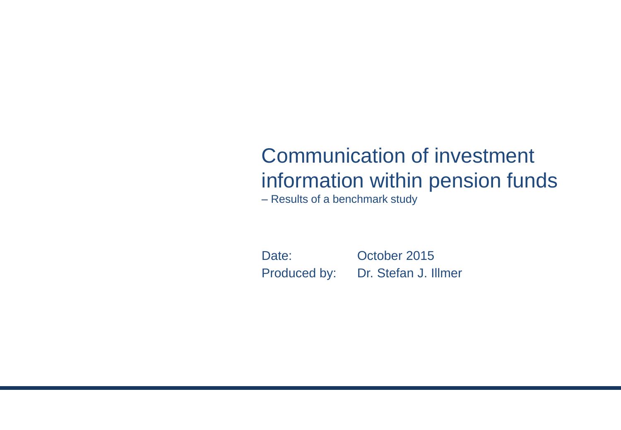# Communication of investment information within pension funds

– Results of a benchmark study

Date: October 2015 Produced by: Dr. Stefan J. Illmer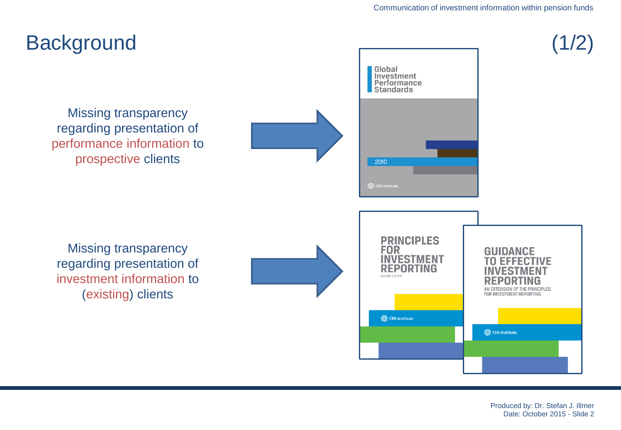

Produced by: Dr. Stefan J. Illmer Date: October 2015 - Slide 2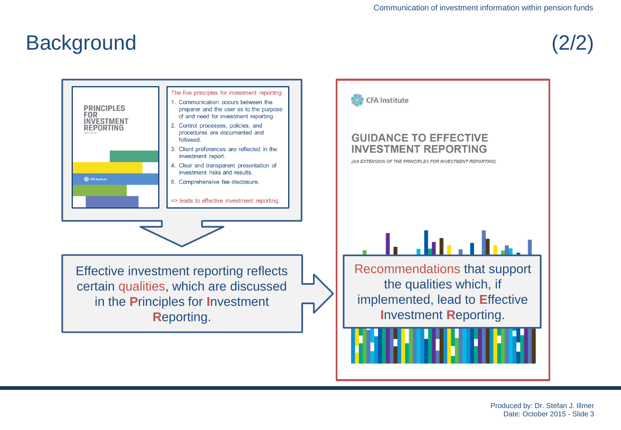### **Background**

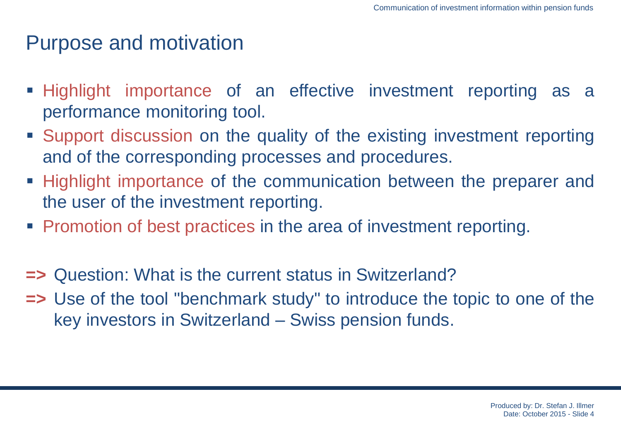#### Purpose and motivation

- Highlight importance of an effective investment reporting as a performance monitoring tool.
- Support discussion on the quality of the existing investment reporting and of the corresponding processes and procedures.
- Highlight importance of the communication between the preparer and the user of the investment reporting.
- **Promotion of best practices in the area of investment reporting.**
- **=>** Question: What is the current status in Switzerland?
- **=>** Use of the tool "benchmark study" to introduce the topic to one of the key investors in Switzerland – Swiss pension funds.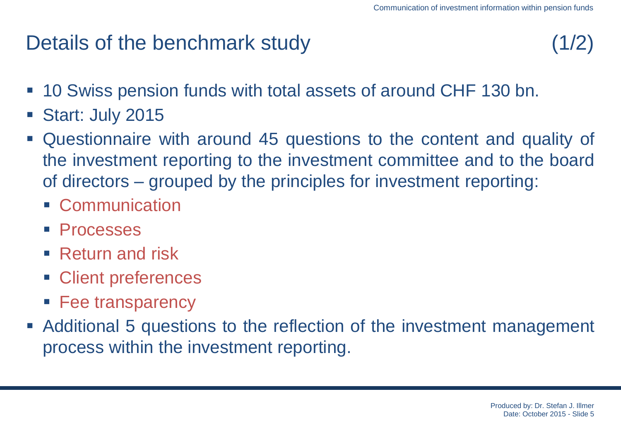## Details of the benchmark study (1/2)

- 10 Swiss pension funds with total assets of around CHF 130 bn.
- Start: July 2015
- Questionnaire with around 45 questions to the content and quality of the investment reporting to the investment committee and to the board of directors – grouped by the principles for investment reporting:
	- Communication
	- Processes
	- Return and risk
	- Client preferences
	- **Fee transparency**
- Additional 5 questions to the reflection of the investment management process within the investment reporting.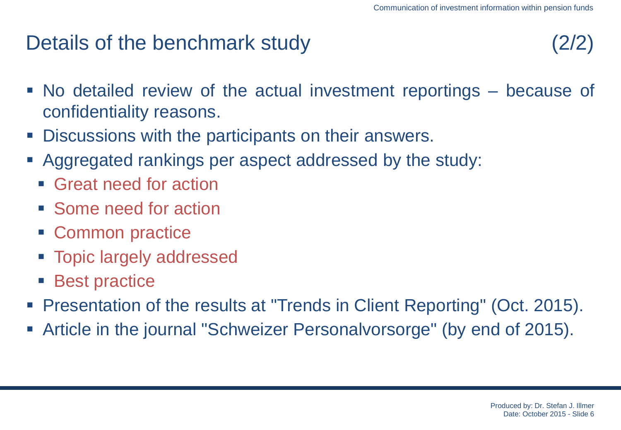### Details of the benchmark study

- No detailed review of the actual investment reportings because of confidentiality reasons.
- **Discussions with the participants on their answers.**
- Aggregated rankings per aspect addressed by the study:
	- Great need for action
	- Some need for action
	- Common practice
	- **Topic largely addressed**
	- Best practice
- Presentation of the results at "Trends in Client Reporting" (Oct. 2015).
- Article in the journal "Schweizer Personalvorsorge" (by end of 2015).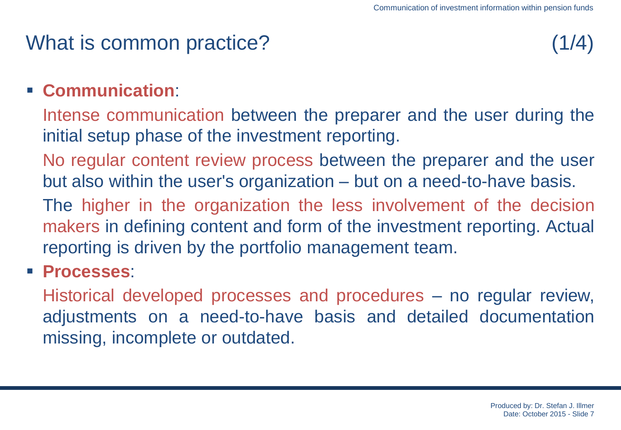## What is common practice? (1/4)

#### **Communication**:

Intense communication between the preparer and the user during the initial setup phase of the investment reporting.

- No regular content review process between the preparer and the user but also within the user's organization – but on a need-to-have basis.
- The higher in the organization the less involvement of the decision makers in defining content and form of the investment reporting. Actual reporting is driven by the portfolio management team.
- **Processes**:

Historical developed processes and procedures – no regular review, adjustments on a need-to-have basis and detailed documentation missing, incomplete or outdated.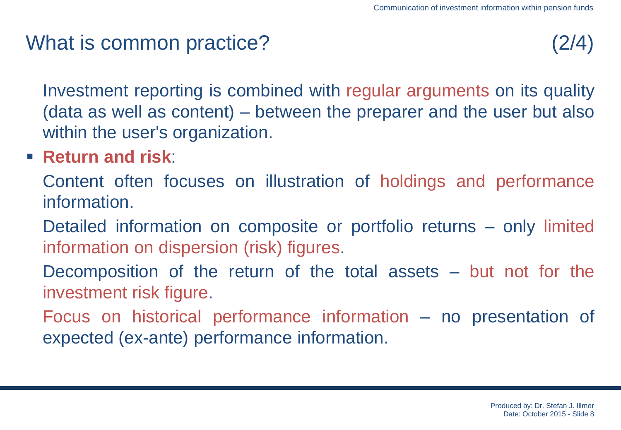## What is common practice? (2/4)

Investment reporting is combined with regular arguments on its quality (data as well as content) – between the preparer and the user but also within the user's organization.

**Return and risk**:

Content often focuses on illustration of holdings and performance information.

- Detailed information on composite or portfolio returns only limited information on dispersion (risk) figures.
- Decomposition of the return of the total assets but not for the investment risk figure.
- Focus on historical performance information no presentation of expected (ex-ante) performance information.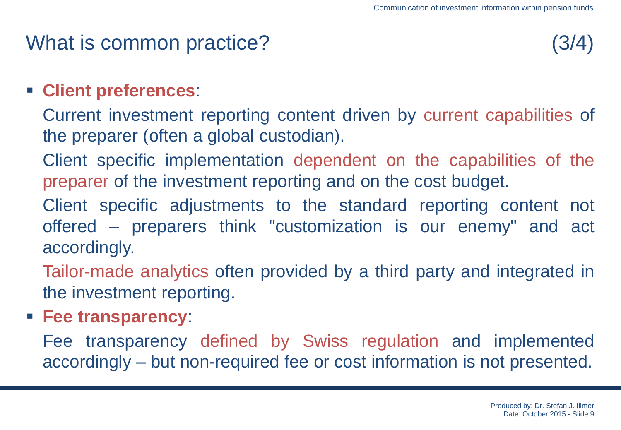## What is common practice? (3/4)

#### **Client preferences**:

- Current investment reporting content driven by current capabilities of the preparer (often a global custodian).
- Client specific implementation dependent on the capabilities of the preparer of the investment reporting and on the cost budget.
- Client specific adjustments to the standard reporting content not offered – preparers think "customization is our enemy" and act accordingly.
- Tailor-made analytics often provided by a third party and integrated in the investment reporting.
- **Fee transparency**:
	- Fee transparency defined by Swiss regulation and implemented accordingly – but non-required fee or cost information is not presented.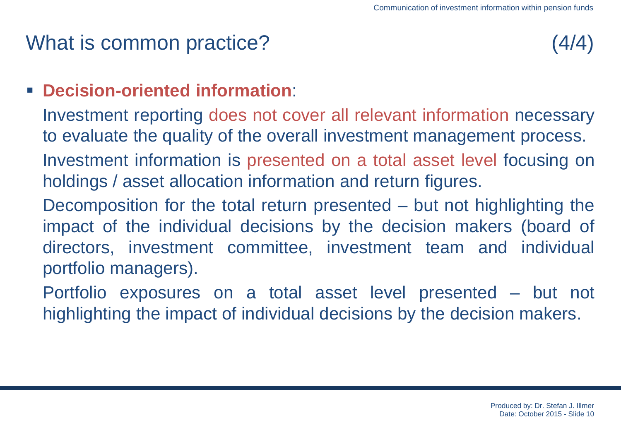## What is common practice? (4/4)

#### **Decision-oriented information**:

Investment reporting does not cover all relevant information necessary to evaluate the quality of the overall investment management process. Investment information is presented on a total asset level focusing on holdings / asset allocation information and return figures.

Decomposition for the total return presented – but not highlighting the impact of the individual decisions by the decision makers (board of directors, investment committee, investment team and individual portfolio managers).

Portfolio exposures on a total asset level presented – but not highlighting the impact of individual decisions by the decision makers.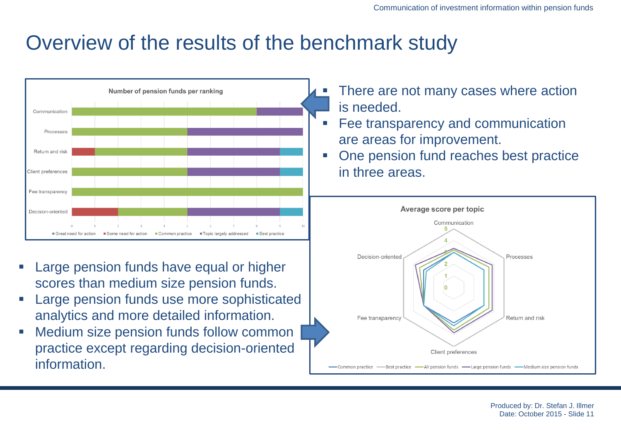### Overview of the results of the benchmark study



- Large pension funds have equal or higher scores than medium size pension funds.
- Large pension funds use more sophisticated analytics and more detailed information.
- Medium size pension funds follow common practice except regarding decision-oriented **information**
- There are not many cases where action is needed.
- Fee transparency and communication are areas for improvement.
- One pension fund reaches best practice in three areas.



Produced by: Dr. Stefan J. Illmer Date: October 2015 - Slide 11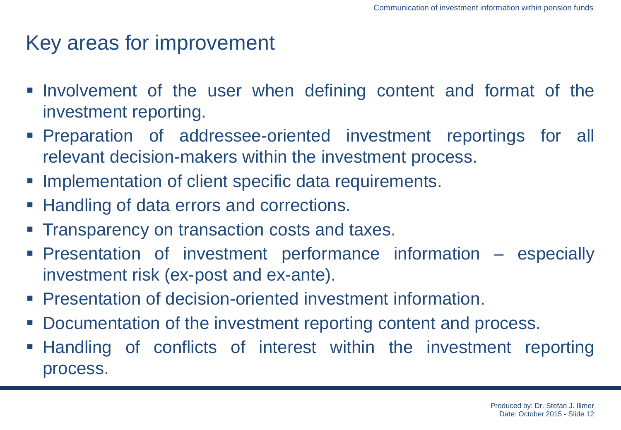## Key areas for improvement

- Involvement of the user when defining content and format of the investment reporting.
- Preparation of addressee-oriented investment reportings for all relevant decision-makers within the investment process.
- **Implementation of client specific data requirements.**
- **Handling of data errors and corrections.**
- Transparency on transaction costs and taxes.
- Presentation of investment performance information especially investment risk (ex-post and ex-ante).
- **Presentation of decision-oriented investment information.**
- Documentation of the investment reporting content and process.
- Handling of conflicts of interest within the investment reporting process.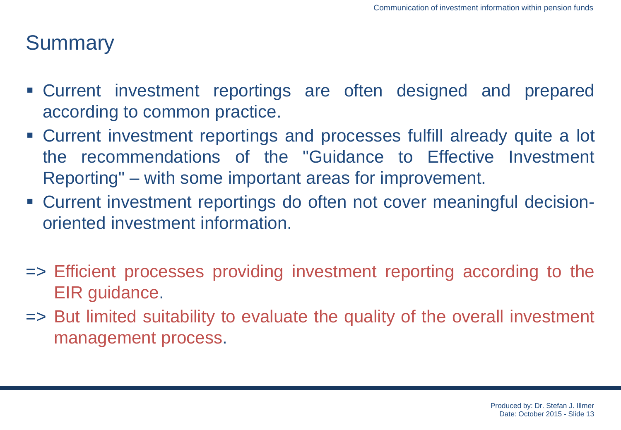### **Summary**

- Current investment reportings are often designed and prepared according to common practice.
- Current investment reportings and processes fulfill already quite a lot the recommendations of the "Guidance to Effective Investment Reporting" – with some important areas for improvement.
- Current investment reportings do often not cover meaningful decisionoriented investment information.
- => Efficient processes providing investment reporting according to the EIR guidance.
- => But limited suitability to evaluate the quality of the overall investment management process.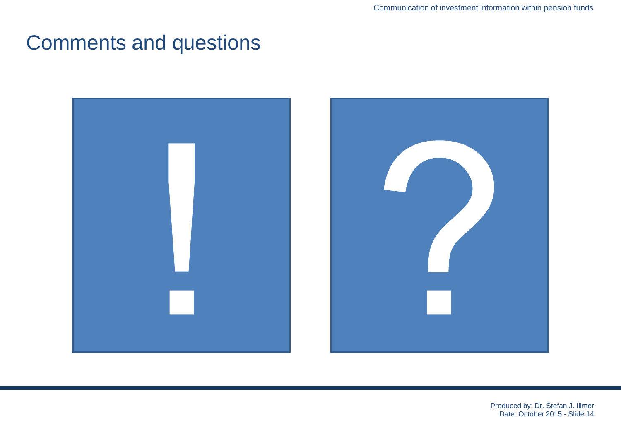### Comments and questions

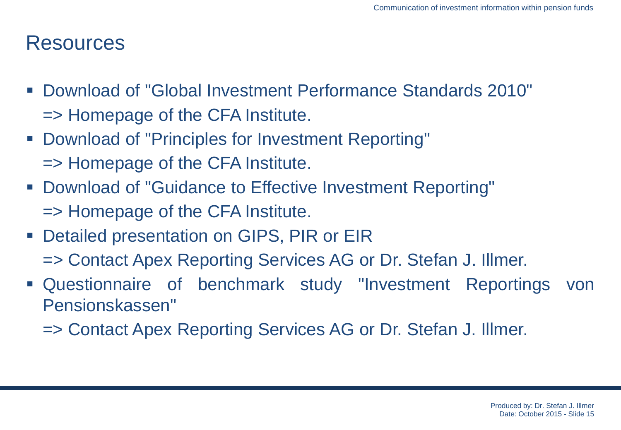#### **Resources**

- Download of "Global Investment Performance Standards 2010" => Homepage of the CFA Institute.
- Download of "Principles for Investment Reporting" => Homepage of the CFA Institute.
- Download of "Guidance to Effective Investment Reporting" => Homepage of the CFA Institute.
- **Detailed presentation on GIPS, PIR or EIR** 
	- => Contact Apex Reporting Services AG or Dr. Stefan J. Illmer.
- Questionnaire of benchmark study "Investment Reportings von Pensionskassen"
	- => Contact Apex Reporting Services AG or Dr. Stefan J. Illmer.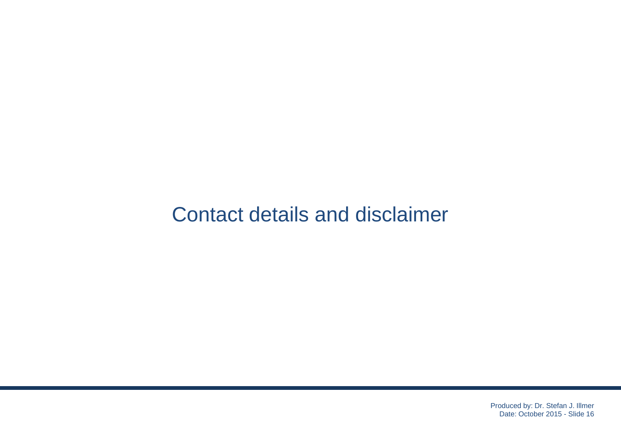### Contact details and disclaimer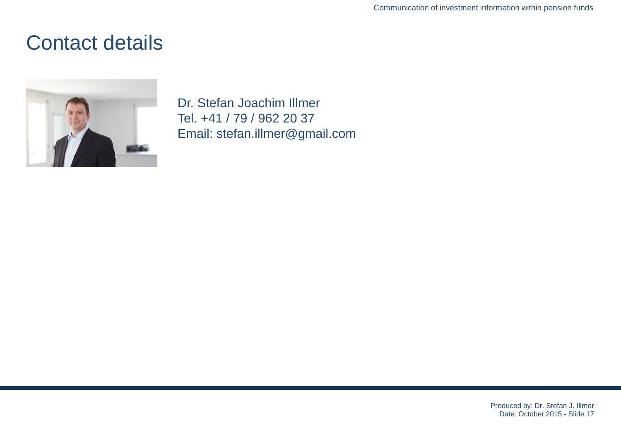#### Contact details



Dr. Stefan Joachim Illmer Tel. +41 / 79 / 962 20 37 Email: stefan.illmer@gmail.com